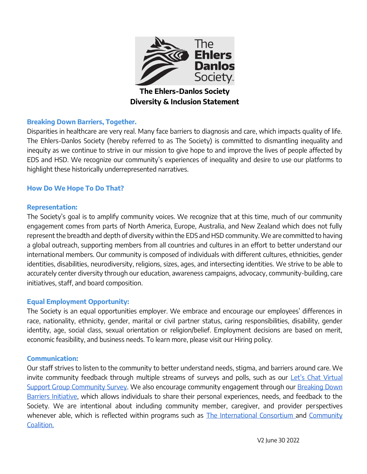

**The Ehlers-Danlos Society Diversity & Inclusion Statement**

#### **Breaking Down Barriers, Together.**

Disparities in healthcare are very real. Many face barriers to diagnosis and care, which impacts quality of life. The Ehlers-Danlos Society (hereby referred to as The Society) is committed to dismantling inequality and inequity as we continue to strive in our mission to give hope to and improve the lives of people affected by EDS and HSD. We recognize our community's experiences of inequality and desire to use our platforms to highlight these historically underrepresented narratives.

#### **How Do We Hope To Do That?**

#### **Representation:**

The Society's goal is to amplify community voices. We recognize that at this time, much of our community engagement comes from parts of North America, Europe, Australia, and New Zealand which does not fully represent the breadth and depth of diversity within the EDS and HSD community. We are committed to having a global outreach, supporting members from all countries and cultures in an effort to better understand our international members. Our community is composed of individuals with different cultures, ethnicities, gender identities, disabilities, neurodiversity, religions, sizes, ages, and intersecting identities. We strive to be able to accurately center diversity through our education, awareness campaigns, advocacy, community-building, care initiatives, staff, and board composition.

#### **Equal Employment Opportunity:**

The Society is an equal opportunities employer. We embrace and encourage our employees' differences in race, nationality, ethnicity, gender, marital or civil partner status, caring responsibilities, disability, gender identity, age, social class, sexual orientation or religion/belief. Employment decisions are based on merit, economic feasibility, and business needs. To learn more, please visit our Hiring policy.

#### **Communication:**

Our staff strives to listen to the community to better understand needs, stigma, and barriers around care. We invite community feedback through multiple streams of surveys and polls, such as our Let's Chat Virtual [Support Group Community Survey.](https://docs.google.com/forms/u/2/d/1Aj6KxrhS8lYMQYir7EO26dJIpQ_r1neCveg0BdF_os8/edit) We also encourage community engagement through our Breaking Down [Barriers Initiative,](https://www.ehlers-danlos.com/breaking-down-barriers/) which allows individuals to share their personal experiences, needs, and feedback to the Society. We are intentional about including community member, caregiver, and provider perspectives whenever able, which is reflected within programs such as [The International Consortium a](https://www.ehlers-danlos.com/international-consortium/)nd Community [Coalition.](https://www.ehlers-danlos.com/eds-community-coalition/)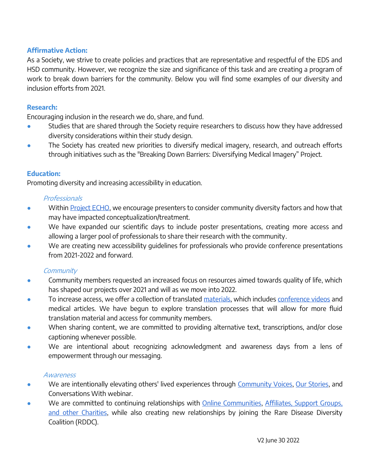### **Affirmative Action:**

As a Society, we strive to create policies and practices that are representative and respectful of the EDS and HSD community. However, we recognize the size and significance of this task and are creating a program of work to break down barriers for the community. Below you will find some examples of our diversity and inclusion efforts from 2021.

## **Research:**

Encouraging inclusion in the research we do, share, and fund.

- Studies that are shared through the Society require researchers to discuss how they have addressed diversity considerations within their study design.
- The Society has created new priorities to diversify medical imagery, research, and outreach efforts through initiatives such as the "Breaking Down Barriers: Diversifying Medical Imagery" Project.

## **Education:**

Promoting diversity and increasing accessibility in education.

### Professionals

- Within [Project ECHO,](https://www.ehlers-danlos.com/echo/) we encourage presenters to consider community diversity factors and how that may have impacted conceptualization/treatment.
- We have expanded our scientific days to include poster presentations, creating more access and allowing a larger pool of professionals to share their research with the community.
- We are creating new accessibility guidelines for professionals who provide conference presentations from 2021-2022 and forward.

# **Community**

- Community members requested an increased focus on resources aimed towards quality of life, which has shaped our projects over 2021 and will as we move into 2022.
- To increase access, we offer a collection of translated [materials,](https://www.ehlers-danlos.com/other-languages/) which includes [conference videos](https://www.youtube.com/c/TheEhlersDanlosSociety/playlists?view=50&sort=dd&shelf_id=2) and medical articles. We have begun to explore translation processes that will allow for more fluid translation material and access for community members.
- When sharing content, we are committed to providing alternative text, transcriptions, and/or close captioning whenever possible.
- We are intentional about recognizing acknowledgment and awareness days from a lens of empowerment through our messaging.

### **Awareness**

- We are intentionally elevating others' lived experiences through [Community Voices,](https://www.ehlers-danlos.com/community-voices/) [Our Stories,](https://www.ehlers-danlos.com/stories/) and Conversations With webinar.
- We are committed to continuing relationships with [Online Communities,](https://www.ehlers-danlos.com/message-boards/) Affiliates, Support Groups, [and other Charities,](https://www.ehlers-danlos.com/affiliates-support-groups-and-charities/) while also creating new relationships by joining the Rare Disease Diversity Coalition (RDDC).